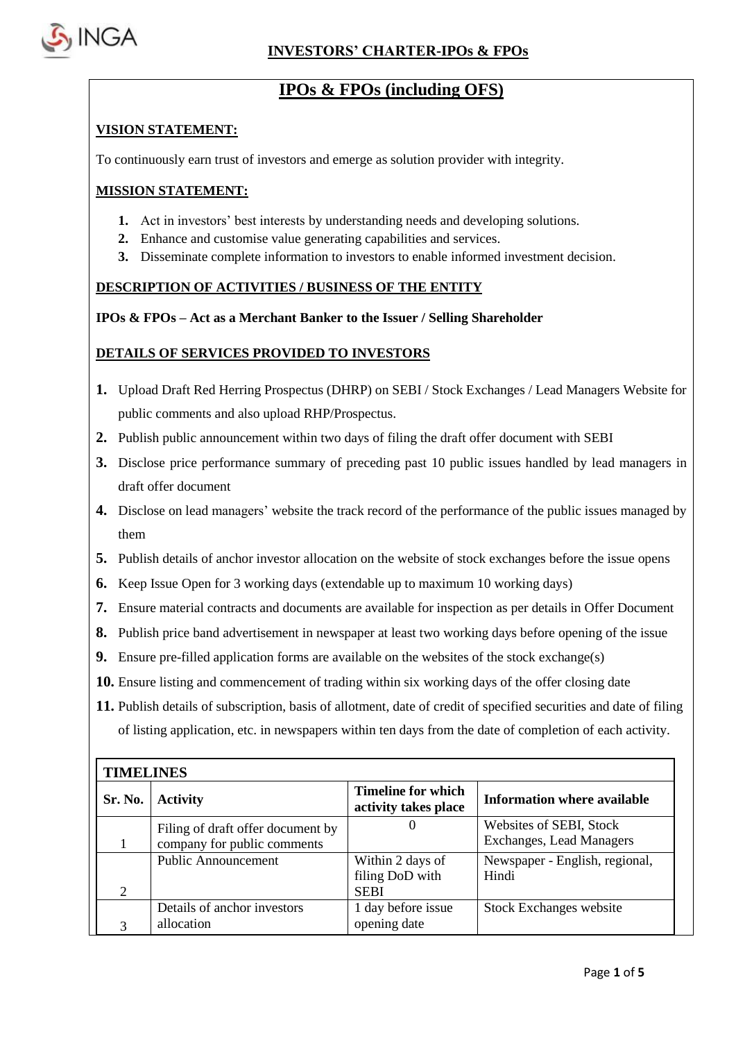

 $\mathbf{r}$ 

# **IPOs & FPOs (including OFS)**

### **VISION STATEMENT:**

To continuously earn trust of investors and emerge as solution provider with integrity.

### **MISSION STATEMENT:**

- **1.** Act in investors' best interests by understanding needs and developing solutions.
- **2.** Enhance and customise value generating capabilities and services.
- **3.** Disseminate complete information to investors to enable informed investment decision.

### **DESCRIPTION OF ACTIVITIES / BUSINESS OF THE ENTITY**

### **IPOs & FPOs – Act as a Merchant Banker to the Issuer / Selling Shareholder**

### **DETAILS OF SERVICES PROVIDED TO INVESTORS**

- **1.** Upload Draft Red Herring Prospectus (DHRP) on SEBI / Stock Exchanges / Lead Managers Website for public comments and also upload RHP/Prospectus.
- **2.** Publish public announcement within two days of filing the draft offer document with SEBI
- **3.** Disclose price performance summary of preceding past 10 public issues handled by lead managers in draft offer document
- **4.** Disclose on lead managers' website the track record of the performance of the public issues managed by them
- **5.** Publish details of anchor investor allocation on the website of stock exchanges before the issue opens
- **6.** Keep Issue Open for 3 working days (extendable up to maximum 10 working days)
- **7.** Ensure material contracts and documents are available for inspection as per details in Offer Document
- **8.** Publish price band advertisement in newspaper at least two working days before opening of the issue
- **9.** Ensure pre-filled application forms are available on the websites of the stock exchange(s)
- **10.** Ensure listing and commencement of trading within six working days of the offer closing date
- **11.** Publish details of subscription, basis of allotment, date of credit of specified securities and date of filing of listing application, etc. in newspapers within ten days from the date of completion of each activity.

| <b>TIMELINES</b>            |                                   |                                                   |                                    |  |  |  |
|-----------------------------|-----------------------------------|---------------------------------------------------|------------------------------------|--|--|--|
| Sr. No.                     | <b>Activity</b>                   | <b>Timeline for which</b><br>activity takes place | <b>Information where available</b> |  |  |  |
|                             | Filing of draft offer document by | O                                                 | Websites of SEBI, Stock            |  |  |  |
|                             | company for public comments       |                                                   | <b>Exchanges, Lead Managers</b>    |  |  |  |
|                             | <b>Public Announcement</b>        | Within 2 days of                                  | Newspaper - English, regional,     |  |  |  |
|                             |                                   | filing DoD with                                   | Hindi                              |  |  |  |
| $\mathcal{D}_{\mathcal{L}}$ |                                   | <b>SEBI</b>                                       |                                    |  |  |  |
|                             | Details of anchor investors       | 1 day before issue                                | Stock Exchanges website            |  |  |  |
|                             | allocation                        | opening date                                      |                                    |  |  |  |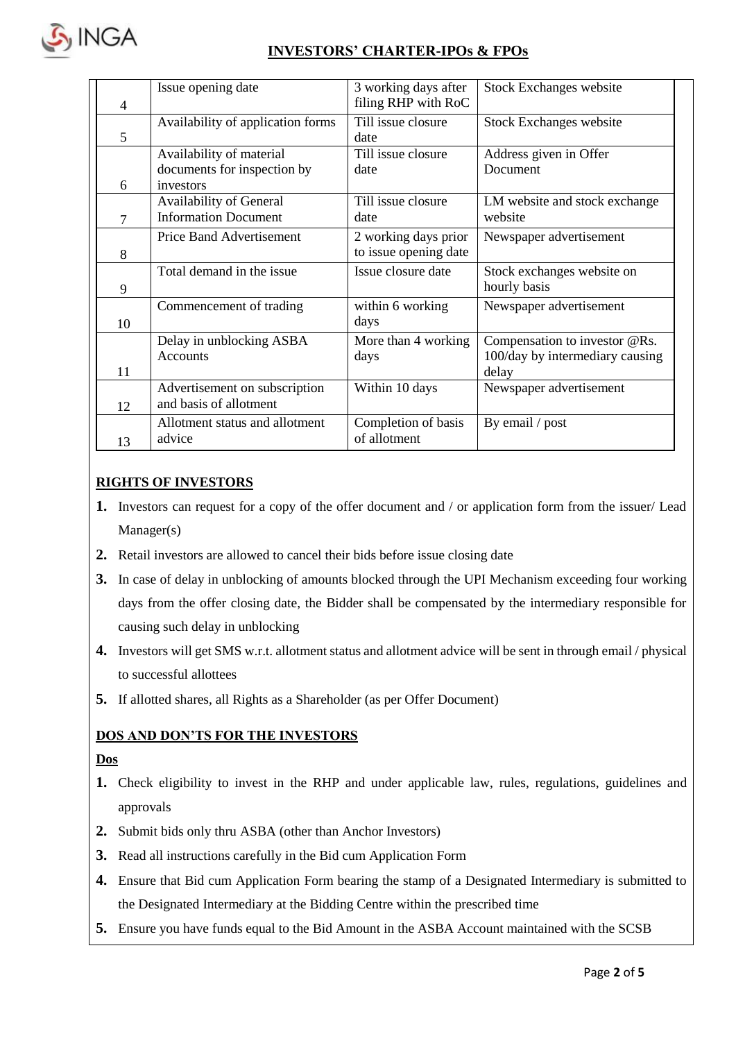

| $\overline{4}$ | Issue opening date                                                   | 3 working days after<br>filing RHP with RoC   | <b>Stock Exchanges website</b>                                            |
|----------------|----------------------------------------------------------------------|-----------------------------------------------|---------------------------------------------------------------------------|
| 5              | Availability of application forms                                    | Till issue closure<br>date                    | Stock Exchanges website                                                   |
| 6              | Availability of material<br>documents for inspection by<br>investors | Till issue closure<br>date                    | Address given in Offer<br>Document                                        |
| 7              | <b>Availability of General</b><br><b>Information Document</b>        | Till issue closure<br>date                    | LM website and stock exchange<br>website                                  |
| 8              | <b>Price Band Advertisement</b>                                      | 2 working days prior<br>to issue opening date | Newspaper advertisement                                                   |
| 9              | Total demand in the issue                                            | Issue closure date                            | Stock exchanges website on<br>hourly basis                                |
| 10             | Commencement of trading                                              | within 6 working<br>days                      | Newspaper advertisement                                                   |
| 11             | Delay in unblocking ASBA<br><b>Accounts</b>                          | More than 4 working<br>days                   | Compensation to investor @Rs.<br>100/day by intermediary causing<br>delay |
| 12             | Advertisement on subscription<br>and basis of allotment              | Within 10 days                                | Newspaper advertisement                                                   |
| 13             | Allotment status and allotment<br>advice                             | Completion of basis<br>of allotment           | By email / post                                                           |

# **RIGHTS OF INVESTORS**

- **1.** Investors can request for a copy of the offer document and / or application form from the issuer/ Lead Manager(s)
- **2.** Retail investors are allowed to cancel their bids before issue closing date
- **3.** In case of delay in unblocking of amounts blocked through the UPI Mechanism exceeding four working days from the offer closing date, the Bidder shall be compensated by the intermediary responsible for causing such delay in unblocking
- **4.** Investors will get SMS w.r.t. allotment status and allotment advice will be sent in through email / physical to successful allottees
- **5.** If allotted shares, all Rights as a Shareholder (as per Offer Document)

### **DOS AND DON'TS FOR THE INVESTORS**

### **Dos**

- **1.** Check eligibility to invest in the RHP and under applicable law, rules, regulations, guidelines and approvals
- **2.** Submit bids only thru ASBA (other than Anchor Investors)
- **3.** Read all instructions carefully in the Bid cum Application Form
- **4.** Ensure that Bid cum Application Form bearing the stamp of a Designated Intermediary is submitted to the Designated Intermediary at the Bidding Centre within the prescribed time
- **5.** Ensure you have funds equal to the Bid Amount in the ASBA Account maintained with the SCSB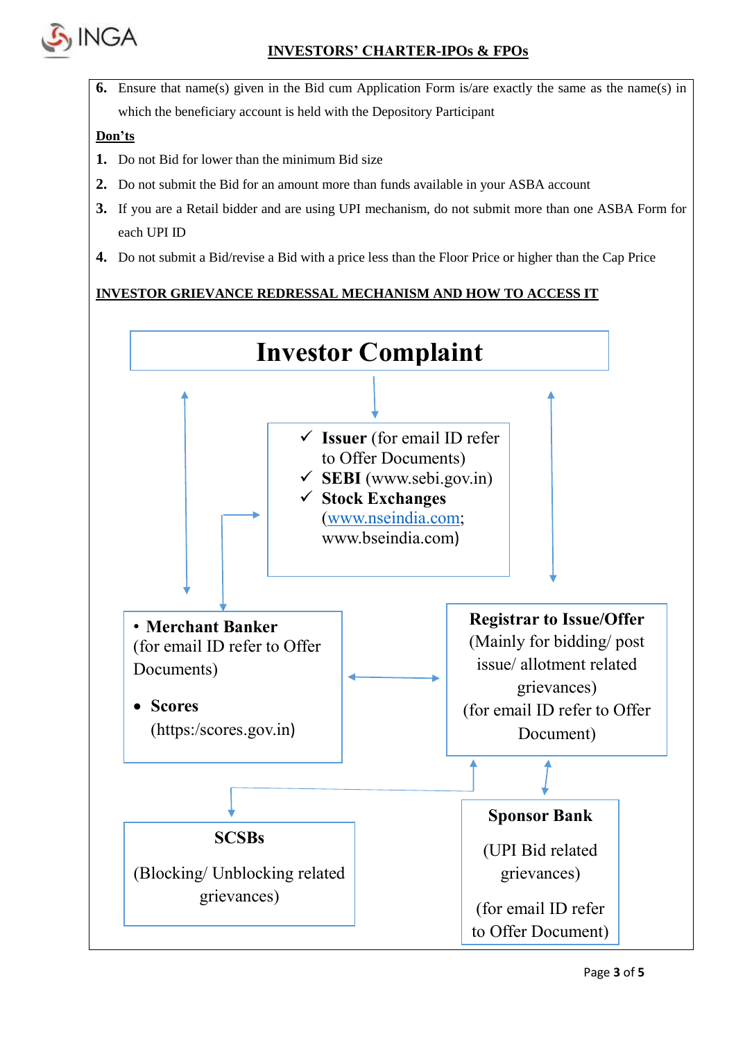

**6.** Ensure that name(s) given in the Bid cum Application Form is/are exactly the same as the name(s) in which the beneficiary account is held with the Depository Participant

# **Don'ts**

- **1.** Do not Bid for lower than the minimum Bid size
- **2.** Do not submit the Bid for an amount more than funds available in your ASBA account
- **3.** If you are a Retail bidder and are using UPI mechanism, do not submit more than one ASBA Form for each UPI ID
- **4.** Do not submit a Bid/revise a Bid with a price less than the Floor Price or higher than the Cap Price

# **INVESTOR GRIEVANCE REDRESSAL MECHANISM AND HOW TO ACCESS IT**

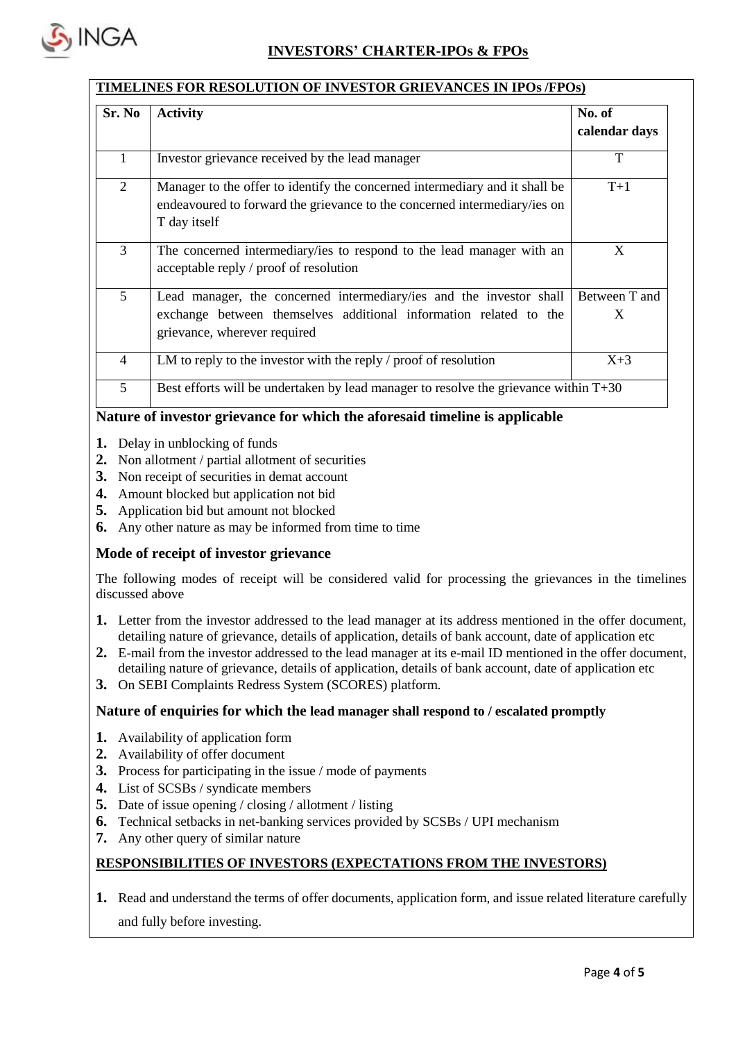

### **TIMELINES FOR RESOLUTION OF INVESTOR GRIEVANCES IN IPOs /FPOs)**

| Sr. No         | <b>Activity</b>                                                                                                                                                          | No. of<br>calendar days |  |
|----------------|--------------------------------------------------------------------------------------------------------------------------------------------------------------------------|-------------------------|--|
| 1              | Investor grievance received by the lead manager                                                                                                                          | T                       |  |
| 2              | Manager to the offer to identify the concerned intermediary and it shall be<br>endeavoured to forward the grievance to the concerned intermediary/ies on<br>T day itself | $T+1$                   |  |
| 3              | The concerned intermediary/ies to respond to the lead manager with an<br>acceptable reply / proof of resolution                                                          | X                       |  |
| 5 <sup>5</sup> | Lead manager, the concerned intermediary/ies and the investor shall<br>exchange between themselves additional information related to the<br>grievance, wherever required | Between T and<br>X      |  |
| $\overline{4}$ | LM to reply to the investor with the reply / proof of resolution                                                                                                         | $X+3$                   |  |
| 5              | Best efforts will be undertaken by lead manager to resolve the grievance within T+30                                                                                     |                         |  |

### **Nature of investor grievance for which the aforesaid timeline is applicable**

- **1.** Delay in unblocking of funds
- **2.** Non allotment / partial allotment of securities
- **3.** Non receipt of securities in demat account
- **4.** Amount blocked but application not bid
- **5.** Application bid but amount not blocked
- **6.** Any other nature as may be informed from time to time

### **Mode of receipt of investor grievance**

The following modes of receipt will be considered valid for processing the grievances in the timelines discussed above

- **1.** Letter from the investor addressed to the lead manager at its address mentioned in the offer document, detailing nature of grievance, details of application, details of bank account, date of application etc
- **2.** E-mail from the investor addressed to the lead manager at its e-mail ID mentioned in the offer document, detailing nature of grievance, details of application, details of bank account, date of application etc
- **3.** On SEBI Complaints Redress System (SCORES) platform.

### **Nature of enquiries for which the lead manager shall respond to / escalated promptly**

- **1.** Availability of application form
- **2.** Availability of offer document
- **3.** Process for participating in the issue / mode of payments
- **4.** List of SCSBs / syndicate members
- **5.** Date of issue opening / closing / allotment / listing
- **6.** Technical setbacks in net-banking services provided by SCSBs / UPI mechanism
- **7.** Any other query of similar nature

### **RESPONSIBILITIES OF INVESTORS (EXPECTATIONS FROM THE INVESTORS)**

**1.** Read and understand the terms of offer documents, application form, and issue related literature carefully

and fully before investing.